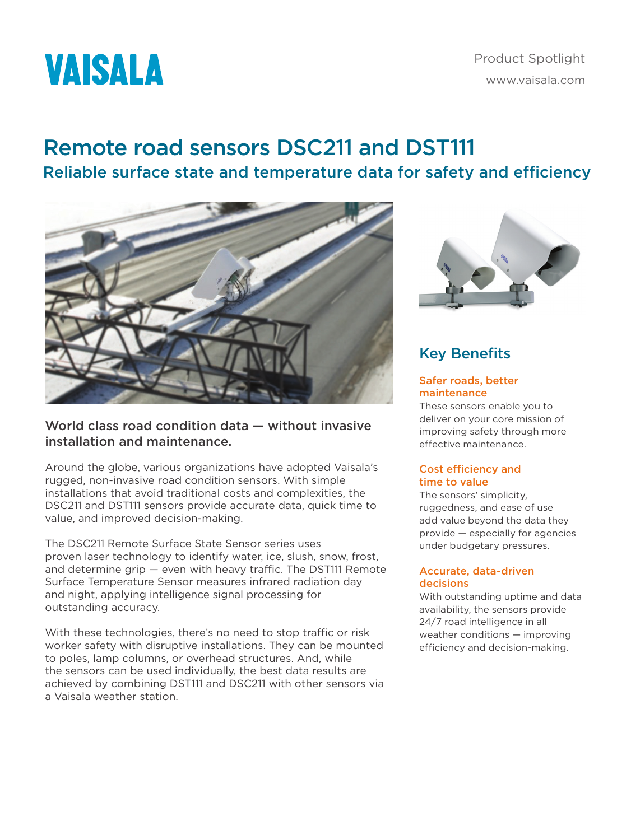

# Remote road sensors DSC211 and DST111 Reliable surface state and temperature data for safety and efficiency



## World class road condition data — without invasive installation and maintenance.

Around the globe, various organizations have adopted Vaisala's rugged, non-invasive road condition sensors. With simple installations that avoid traditional costs and complexities, the DSC211 and DST111 sensors provide accurate data, quick time to value, and improved decision-making.

The DSC211 Remote Surface State Sensor series uses proven laser technology to identify water, ice, slush, snow, frost, and determine grip — even with heavy traffic. The DST111 Remote Surface Temperature Sensor measures infrared radiation day and night, applying intelligence signal processing for outstanding accuracy.

With these technologies, there's no need to stop traffic or risk worker safety with disruptive installations. They can be mounted to poles, lamp columns, or overhead structures. And, while the sensors can be used individually, the best data results are achieved by combining DST111 and DSC211 with other sensors via a Vaisala weather station.



# Key Benefits

#### Safer roads, better maintenance

These sensors enable you to deliver on your core mission of improving safety through more effective maintenance.

#### Cost efficiency and time to value

The sensors' simplicity, ruggedness, and ease of use add value beyond the data they provide — especially for agencies under budgetary pressures.

#### Accurate, data-driven decisions

With outstanding uptime and data availability, the sensors provide 24/7 road intelligence in all weather conditions — improving efficiency and decision-making.